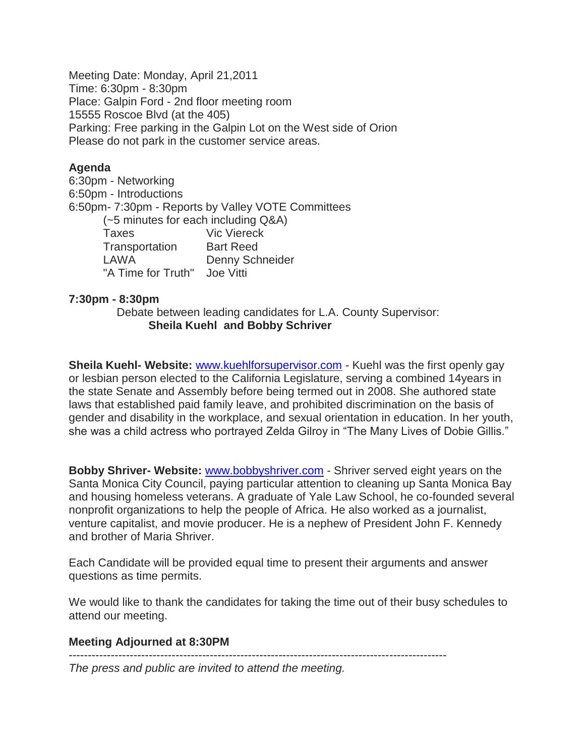Meeting Date: Monday, April 21,2011 Time: 6:30pm - 8:30pm Place: Galpin Ford - 2nd floor meeting room 15555 Roscoe Blvd (at the 405) Parking: Free parking in the Galpin Lot on the West side of Orion Please do not park in the customer service areas.

## **Agenda**

6:30pm - Networking 6:50pm - Introductions 6:50pm- 7:30pm - Reports by Valley VOTE Committees (~5 minutes for each including Q&A) Taxes Vic Viereck Transportation Bart Reed LAWA Denny Schneider "A Time for Truth" Joe Vitti

## **7:30pm - 8:30pm**

 Debate between leading candidates for L.A. County Supervisor: **Sheila Kuehl and Bobby Schriver** 

**Sheila Kuehl- Website:** [www.kuehlforsupervisor.com](http://www.kuehlforsupervisor.com/) - Kuehl was the first openly gay or lesbian person elected to the California Legislature, serving a combined 14years in the state Senate and Assembly before being termed out in 2008. She authored state laws that established paid family leave, and prohibited discrimination on the basis of gender and disability in the workplace, and sexual orientation in education. In her youth, she was a child actress who portrayed Zelda Gilroy in "The Many Lives of Dobie Gillis."

**Bobby Shriver- Website:** www.bobbyshriver.com - Shriver served eight years on the Santa Monica City Council, paying particular attention to cleaning up Santa Monica Bay and housing homeless veterans. A graduate of Yale Law School, he co-founded several nonprofit organizations to help the people of Africa. He also worked as a journalist, venture capitalist, and movie producer. He is a nephew of President John F. Kennedy and brother of Maria Shriver.

Each Candidate will be provided equal time to present their arguments and answer questions as time permits.

We would like to thank the candidates for taking the time out of their busy schedules to attend our meeting.

## **Meeting Adjourned at 8:30PM**

---------------------------------------------------------------------------------------------------

*The press and public are invited to attend the meeting.*